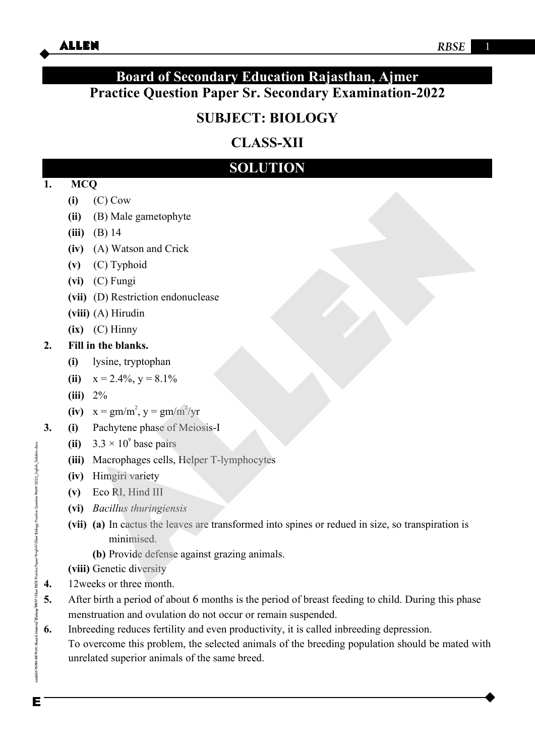## **Board of Secondary Education Rajasthan, Ajmer Practice Question Paper Sr. Secondary Examination-2022**

# **SUBJECT: BIOLOGY**

# **CLASS-XII**

# **SOLUTION**

### **1. MCQ**

- **(i)** (C) Cow
- **(ii)** (B) Male gametophyte
- **(iii)** (B) 14
- **(iv)** (A) Watson and Crick
- **(v)** (C) Typhoid
- **(vi)** (C) Fungi
- **(vii)** (D) Restriction endonuclease
- **(viii)** (A) Hirudin
- **(ix)** (C) Hinny

### **2. Fill in the blanks.**

- **(i)** lysine, tryptophan
- (ii)  $x = 2.4\%$ ,  $y = 8.1\%$
- **(iii)** 2%
- **(iv)**  $x = gm/m^2$ ,  $y = gm/m^2/yr$
- **3. (i)** Pachytene phase of Meiosis-I
	- (ii)  $3.3 \times 10^9$  base pairs
	- **(iii)** Macrophages cells, Helper T-lymphocytes
	- **(iv)** Himgiri variety
	- **(v)** Eco RI, Hind III
	- **(vi)** *Bacillus thuringiensis*
- **(vii) (a)** In cactus the leaves are transformed into spines or redued in size, so transpiration is minimised. (i) (C) Cow<br>
(ii) (B) Male gametophyte<br>
(iii) (B) 14<br>
(iv) (A) Watson and Crick<br>
(v) (C) Typhoid<br>
(vi) (C) Fungi<br>
(ivi) (A) Hiration endonuclease<br>
(ix) (C) Fungi<br>
(iii) (A) Hiration<br>
(ii)  $2z^2$ <br>
(iii)  $x = 2.4\%$ ,  $y = 8.1$ 
	- **(b)** Provide defense against grazing animals.

**(viii)** Genetic diversity

- **4.** 12weeks or three month.
- **5.** After birth a period of about 6 months is the period of breast feeding to child. During this phase menstruation and ovulation do not occur or remain suspended.
- **6.** Inbreeding reduces fertility and even productivity, it is called inbreeding depression. To overcome this problem, the selected animals of the breeding population should be mated with unrelated superior animals of the same breed.

oode06\B0BA-BB\Kota\Board Materia\\Biolog\RBSE\Siker RBSE Proctice Poper\English\Siker Biology Practice Question Paper-2022 English\_Solution.docx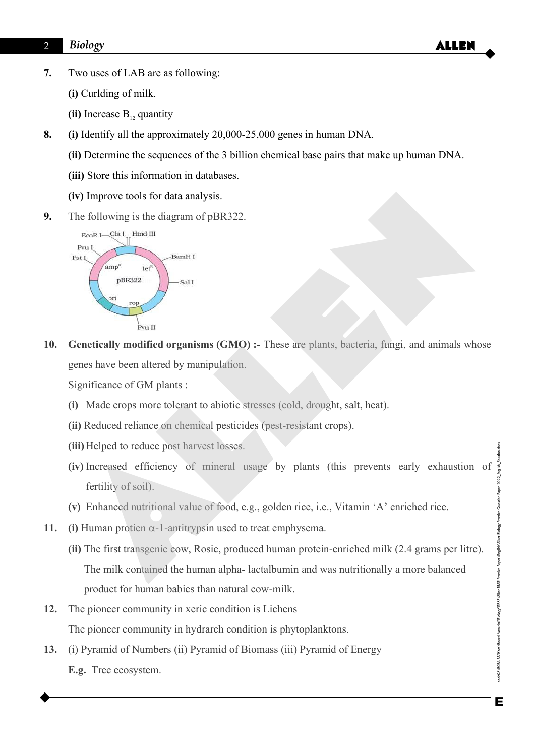- **7.** Two uses of LAB are as following:
	- **(i)** Curlding of milk.
	- **(ii)** Increase B<sub>12</sub> quantity
- **8. (i)** Identify all the approximately 20,000-25,000 genes in human DNA.
	- **(ii)** Determine the sequences of the 3 billion chemical base pairs that make up human DNA.
	- **(iii)** Store this information in databases.
	- **(iv)** Improve tools for data analysis.
- **9.** The following is the diagram of pBR322.



**10. Genetically modified organisms (GMO) :-** These are plants, bacteria, fungi, and animals whose genes have been altered by manipulation.

Significance of GM plants :

- **(i)** Made crops more tolerant to abiotic stresses (cold, drought, salt, heat).
- **(ii)** Reduced reliance on chemical pesticides (pest-resistant crops).
- **(iii)** Helped to reduce post harvest losses.
- **(iv)** Increased efficiency of mineral usage by plants (this prevents early exhaustion of node06\B0BA4B\Kata\Board Materia\Biology\RBSE\Siker RBSE Practice Paper\English\Siker Biology Practice Question Paper-2022\_English\_S fertility of soil).
- **(v)** Enhanced nutritional value of food, e.g., golden rice, i.e., Vitamin 'A' enriched rice.
- 11. **(i)** Human protien  $\alpha$ -1-antitrypsin used to treat emphysema.
- **(ii)** The first transgenic cow, Rosie, produced human protein-enriched milk (2.4 grams per litre). The milk contained the human alpha- lactalbumin and was nutritionally a more balanced product for human babies than natural cow-milk. (**iv**) Improve tools for data analysis.<br>
The following is the diagram of pBR322.<br> **EVALUATE ALL INCREDENT CONDUCE THE CONDUCE TO THE CONDUCT ON THE CONDUCT ON THE CONDUCT ON DIAME :<br>
<b>CONDUCE TO THE CONDUCE CONDUCE CONDUC**
- **12.** The pioneer community in xeric condition is Lichens The pioneer community in hydrarch condition is phytoplanktons.
- **13.** (i) Pyramid of Numbers (ii) Pyramid of Biomass (iii) Pyramid of Energy

 **E.g.** Tree ecosystem.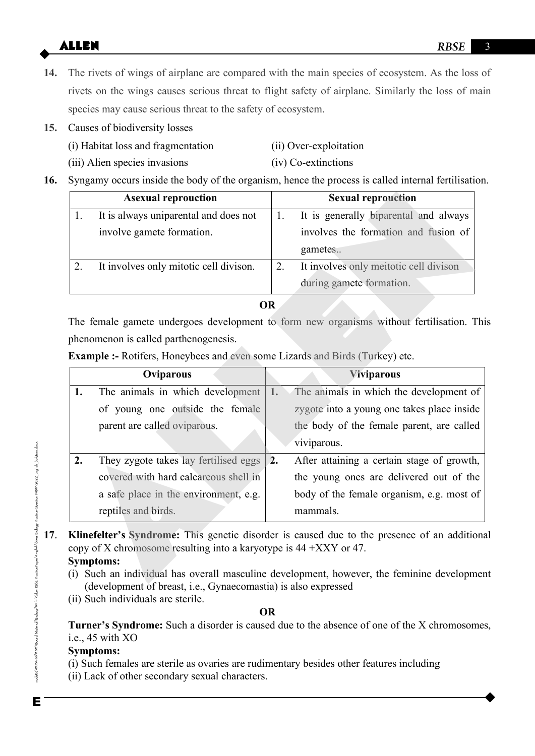- **14.** The rivets of wings of airplane are compared with the main species of ecosystem. As the loss of rivets on the wings causes serious threat to flight safety of airplane. Similarly the loss of main species may cause serious threat to the safety of ecosystem.
- **15.** Causes of biodiversity losses
	- (i) Habitat loss and fragmentation (ii) Over-exploitation
	-
- 
- (iii) Alien species invasions (iv) Co-extinctions
- **16.** Syngamy occurs inside the body of the organism, hence the process is called internal fertilisation.

|    | <b>Asexual reprouction</b>             | <b>Sexual reprouction</b>              |
|----|----------------------------------------|----------------------------------------|
|    | It is always uniparental and does not  | It is generally biparental and always  |
|    | involve gamete formation.              | involves the formation and fusion of   |
|    |                                        | gametes                                |
| 2. | It involves only mitotic cell divison. | It involves only meitotic cell divison |
|    |                                        | during gamete formation.               |

|    | <b>Asexual reprouction</b>                                                                | <b>Sexual reprouction</b>                                                                                                                                                                   |
|----|-------------------------------------------------------------------------------------------|---------------------------------------------------------------------------------------------------------------------------------------------------------------------------------------------|
| 1. | It is always uniparental and does not                                                     | 1.<br>It is generally biparental and always                                                                                                                                                 |
|    | involve gamete formation.                                                                 | involves the formation and fusion of                                                                                                                                                        |
|    |                                                                                           | gametes                                                                                                                                                                                     |
| 2. | It involves only mitotic cell divison.                                                    | It involves only meitotic cell divison<br>2.                                                                                                                                                |
|    |                                                                                           | during gamete formation.                                                                                                                                                                    |
|    |                                                                                           | <b>OR</b>                                                                                                                                                                                   |
|    |                                                                                           | The female gamete undergoes development to form new organisms without fertilisation. Thi                                                                                                    |
|    | phenomenon is called parthenogenesis.                                                     |                                                                                                                                                                                             |
|    | <b>Example :-</b> Rotifers, Honeybees and even some Lizards and Birds (Turkey) etc.       |                                                                                                                                                                                             |
|    | Oviparous                                                                                 | <b>Viviparous</b>                                                                                                                                                                           |
| 1. | The animals in which development                                                          | 1.<br>The animals in which the development of                                                                                                                                               |
|    | of young one outside the female                                                           | zygote into a young one takes place inside                                                                                                                                                  |
|    | parent are called oviparous.                                                              | the body of the female parent, are called                                                                                                                                                   |
|    |                                                                                           | viviparous.                                                                                                                                                                                 |
| 2. | They zygote takes lay fertilised eggs                                                     | After attaining a certain stage of growth,<br>2.                                                                                                                                            |
|    | covered with hard calcareous shell in                                                     | the young ones are delivered out of the                                                                                                                                                     |
|    | a safe place in the environment, e.g.                                                     | body of the female organism, e.g. most of                                                                                                                                                   |
|    | reptiles and birds.                                                                       | mammals.                                                                                                                                                                                    |
|    | copy of X chromosome resulting into a karyotype is $44 + XXXY$ or 47.<br><b>Symptoms:</b> | Klinefelter's Syndrome: This genetic disorder is caused due to the presence of an additional<br>(i) Such an individual has overall masculine development, however, the feminine development |

- **17**. **Klinefelter's Syndrome:** This genetic disorder is caused due to the presence of an additional copy of X chromosome resulting into a karyotype is 44 +XXY or 47. **Symptoms:**
	- (i) Such an individual has overall masculine development, however, the feminine development (development of breast, i.e., Gynaecomastia) is also expressed
	- (ii) Such individuals are sterile.

#### **OR**

**Turner's Syndrome:** Such a disorder is caused due to the absence of one of the X chromosomes, i.e., 45 with XO

### **Symptoms:**

 (i) Such females are sterile as ovaries are rudimentary besides other features including (ii) Lack of other secondary sexual characters.

node06\B0BARB\Kata\Board Materia\\Biolog\XBSE\Siker RBSE Proctice Paper\English\Siker Biology Practice Question Raper-2022 English\_Solution.docx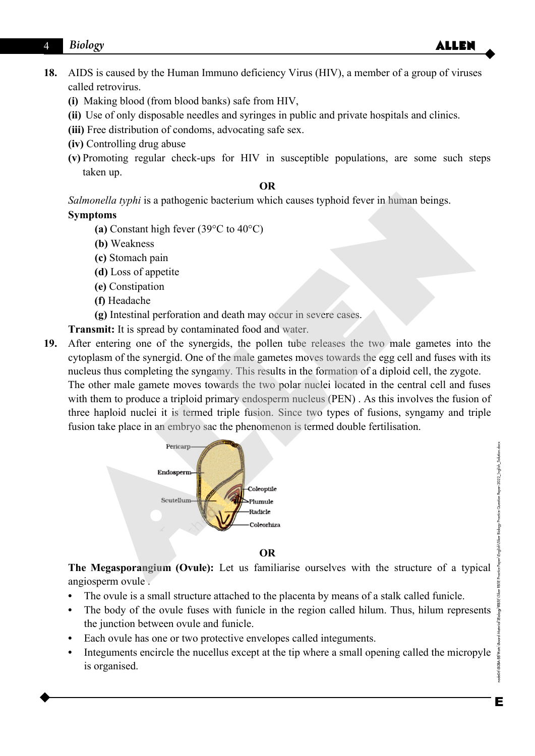### 4 Biology **ALLEN**

- **18.** AIDS is caused by the Human Immuno deficiency Virus (HIV), a member of a group of viruses called retrovirus.
	- **(i)** Making blood (from blood banks) safe from HIV,
	- **(ii)** Use of only disposable needles and syringes in public and private hospitals and clinics.
	- **(iii)** Free distribution of condoms, advocating safe sex.
	- **(iv)** Controlling drug abuse
	- **(v)** Promoting regular check-ups for HIV in susceptible populations, are some such steps taken up.

#### **OR**

*Salmonella typhi* is a pathogenic bacterium which causes typhoid fever in human beings.

#### **Symptoms**

- **(a)** Constant high fever (39°C to 40°C)
- **(b)** Weakness
- **(c)** Stomach pain
- **(d)** Loss of appetite
- **(e)** Constipation
- **(f)** Headache
- **(g)** Intestinal perforation and death may occur in severe cases.
- **Transmit:** It is spread by contaminated food and water.
- **19.** After entering one of the synergids, the pollen tube releases the two male gametes into the cytoplasm of the synergid. One of the male gametes moves towards the egg cell and fuses with its nucleus thus completing the syngamy. This results in the formation of a diploid cell, the zygote. The other male gamete moves towards the two polar nuclei located in the central cell and fuses with them to produce a triploid primary endosperm nucleus (PEN). As this involves the fusion of three haploid nuclei it is termed triple fusion. Since two types of fusions, syngamy and triple fusion take place in an embryo sac the phenomenon is termed double fertilisation. Salmonella typhi is a pathogenie bacterium which causes typhoid fever in human beings.<br>
Symptoms<br>
(a) Constant high fever (39°C to 40°C)<br>
(b) Weakness<br>
(c) Stomach pain<br>
(d) Loss of appetitic<br>
(e) cheraknes<br>
(e) in the sy



**OR**

**The Megasporangium (Ovule):** Let us familiarise ourselves with the structure of a typical angiosperm ovule .

- **•** The ovule is a small structure attached to the placenta by means of a stalk called funicle.
- The body of the ovule fuses with funicle in the region called hilum. Thus, hilum represents the junction between ovule and funicle.
- **•** Each ovule has one or two protective envelopes called integuments.
- Integuments encircle the nucellus except at the tip where a small opening called the micropyle is organised.

ode06\R0BA-RR\Koto

Siker Biology Practice Question Paper-2022\_English\_Solution.docx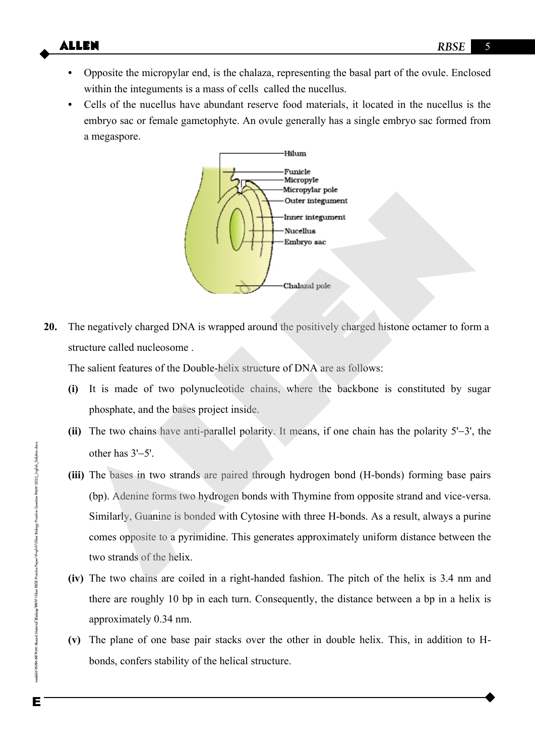- **•** Opposite the micropylar end, is the chalaza, representing the basal part of the ovule. Enclosed within the integuments is a mass of cells called the nucellus.
- **•** Cells of the nucellus have abundant reserve food materials, it located in the nucellus is the embryo sac or female gametophyte. An ovule generally has a single embryo sac formed from a megaspore.



**20.** The negatively charged DNA is wrapped around the positively charged histone octamer to form a structure called nucleosome .

The salient features of the Double-helix structure of DNA are as follows:

- **(i)** It is made of two polynucleotide chains, where the backbone is constituted by sugar phosphate, and the bases project inside.
- (ii) The two chains have anti-parallel polarity. It means, if one chain has the polarity  $5'-3'$ , the other has  $3'$ -5'.
- **(iii)** The bases in two strands are paired through hydrogen bond (H-bonds) forming base pairs (bp). Adenine forms two hydrogen bonds with Thymine from opposite strand and vice-versa. Similarly, Guanine is bonded with Cytosine with three H-bonds. As a result, always a purine comes opposite to a pyrimidine. This generates approximately uniform distance between the two strands of the helix. Networking the United States of the Double-helix structure of DNA are as follows:<br>
The negatively charged DNA is wrapped around the positively charged histone octamer to for<br>
structure called nucleosome.<br>
The salient featu
- **(iv)** The two chains are coiled in a right-handed fashion. The pitch of the helix is 3.4 nm and there are roughly 10 bp in each turn. Consequently, the distance between a bp in a helix is approximately 0.34 nm.
- **(v)** The plane of one base pair stacks over the other in double helix. This, in addition to H bonds, confers stability of the helical structure.